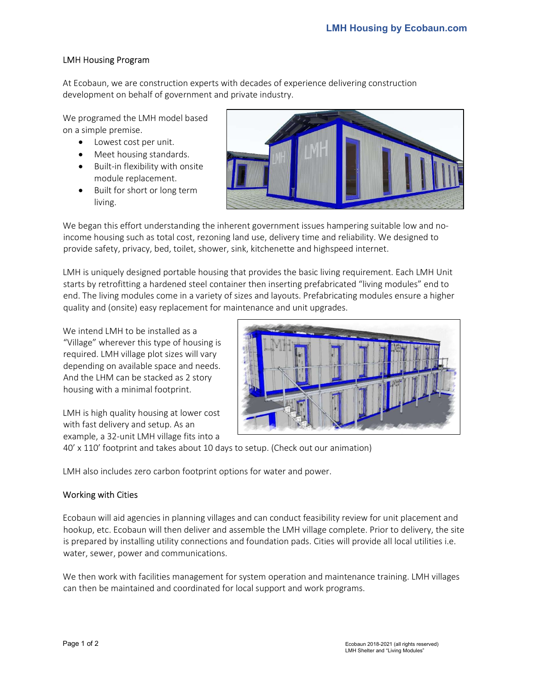# LMH Housing Program

At Ecobaun, we are construction experts with decades of experience delivering construction development on behalf of government and private industry.

We programed the LMH model based on a simple premise.

- Lowest cost per unit.
- Meet housing standards.
- Built-in flexibility with onsite module replacement.
- Built for short or long term living.



We began this effort understanding the inherent government issues hampering suitable low and noincome housing such as total cost, rezoning land use, delivery time and reliability. We designed to provide safety, privacy, bed, toilet, shower, sink, kitchenette and highspeed internet.

LMH is uniquely designed portable housing that provides the basic living requirement. Each LMH Unit starts by retrofitting a hardened steel container then inserting prefabricated "living modules" end to end. The living modules come in a variety of sizes and layouts. Prefabricating modules ensure a higher quality and (onsite) easy replacement for maintenance and unit upgrades.

We intend LMH to be installed as a "Village" wherever this type of housing is required. LMH village plot sizes will vary depending on available space and needs. And the LHM can be stacked as 2 story housing with a minimal footprint.

LMH is high quality housing at lower cost with fast delivery and setup. As an example, a 32-unit LMH village fits into a



40' x 110' footprint and takes about 10 days to setup. (Check out our animation)

LMH also includes zero carbon footprint options for water and power.

### Working with Cities

Ecobaun will aid agencies in planning villages and can conduct feasibility review for unit placement and hookup, etc. Ecobaun will then deliver and assemble the LMH village complete. Prior to delivery, the site is prepared by installing utility connections and foundation pads. Cities will provide all local utilities i.e. water, sewer, power and communications.

We then work with facilities management for system operation and maintenance training. LMH villages can then be maintained and coordinated for local support and work programs.